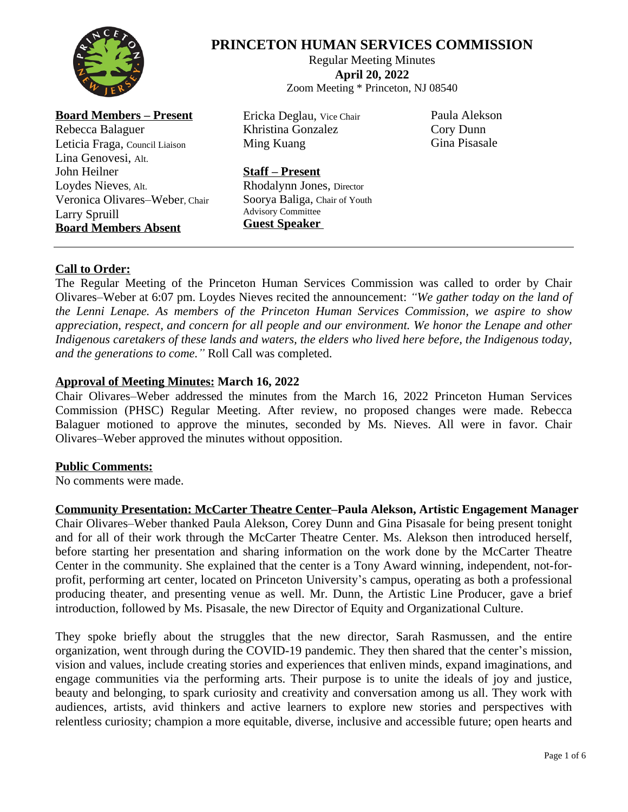

# **PRINCETON HUMAN SERVICES COMMISSION**

Regular Meeting Minutes **April 20, 2022** Zoom Meeting \* Princeton, NJ 08540

**Board Members – Present** Rebecca Balaguer Leticia Fraga, Council Liaison Lina Genovesi, Alt. John Heilner Loydes Nieves, Alt. Veronica Olivares–Weber, Chair Larry Spruill

**Board Members Absent**

Ericka Deglau, Vice Chair Khristina Gonzalez Ming Kuang

Paula Alekson Cory Dunn Gina Pisasale

# **Staff – Present**

Rhodalynn Jones, Director Soorya Baliga, Chair of Youth Advisory Committee **Guest Speaker**

# **Call to Order:**

The Regular Meeting of the Princeton Human Services Commission was called to order by Chair Olivares–Weber at 6:07 pm. Loydes Nieves recited the announcement: *"We gather today on the land of the Lenni Lenape. As members of the Princeton Human Services Commission, we aspire to show appreciation, respect, and concern for all people and our environment. We honor the Lenape and other Indigenous caretakers of these lands and waters, the elders who lived here before, the Indigenous today, and the generations to come."* Roll Call was completed.

# **Approval of Meeting Minutes: March 16, 2022**

Chair Olivares–Weber addressed the minutes from the March 16, 2022 Princeton Human Services Commission (PHSC) Regular Meeting. After review, no proposed changes were made. Rebecca Balaguer motioned to approve the minutes, seconded by Ms. Nieves. All were in favor. Chair Olivares–Weber approved the minutes without opposition.

## **Public Comments:**

No comments were made.

**Community Presentation: McCarter Theatre Center–Paula Alekson, Artistic Engagement Manager** Chair Olivares–Weber thanked Paula Alekson, Corey Dunn and Gina Pisasale for being present tonight and for all of their work through the McCarter Theatre Center. Ms. Alekson then introduced herself, before starting her presentation and sharing information on the work done by the McCarter Theatre Center in the community. She explained that the center is a Tony Award winning, independent, not-forprofit, performing art center, located on Princeton University's campus, operating as both a professional producing theater, and presenting venue as well. Mr. Dunn, the Artistic Line Producer, gave a brief introduction, followed by Ms. Pisasale, the new Director of Equity and Organizational Culture.

They spoke briefly about the struggles that the new director, Sarah Rasmussen, and the entire organization, went through during the COVID-19 pandemic. They then shared that the center's mission, vision and values, include creating stories and experiences that enliven minds, expand imaginations, and engage communities via the performing arts. Their purpose is to unite the ideals of joy and justice, beauty and belonging, to spark curiosity and creativity and conversation among us all. They work with audiences, artists, avid thinkers and active learners to explore new stories and perspectives with relentless curiosity; champion a more equitable, diverse, inclusive and accessible future; open hearts and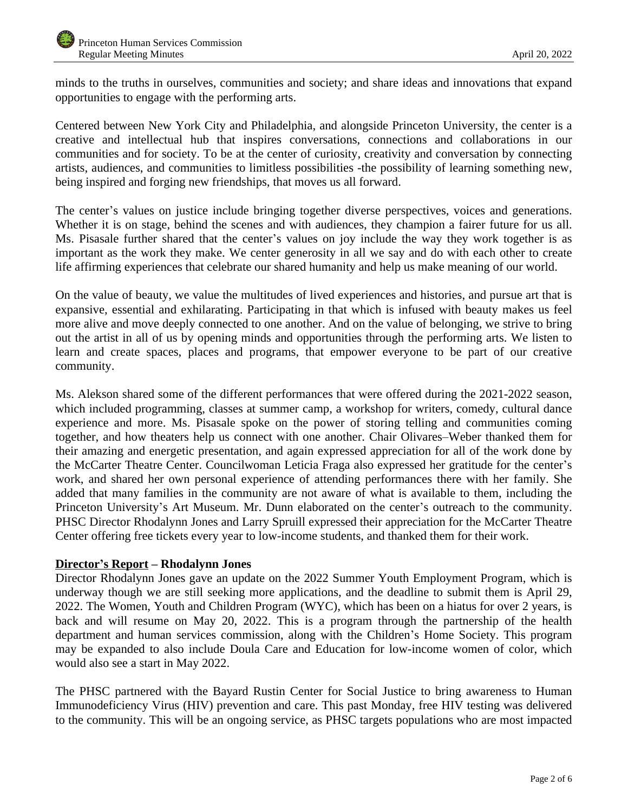minds to the truths in ourselves, communities and society; and share ideas and innovations that expand opportunities to engage with the performing arts.

Centered between New York City and Philadelphia, and alongside Princeton University, the center is a creative and intellectual hub that inspires conversations, connections and collaborations in our communities and for society. To be at the center of curiosity, creativity and conversation by connecting artists, audiences, and communities to limitless possibilities -the possibility of learning something new, being inspired and forging new friendships, that moves us all forward.

The center's values on justice include bringing together diverse perspectives, voices and generations. Whether it is on stage, behind the scenes and with audiences, they champion a fairer future for us all. Ms. Pisasale further shared that the center's values on joy include the way they work together is as important as the work they make. We center generosity in all we say and do with each other to create life affirming experiences that celebrate our shared humanity and help us make meaning of our world.

On the value of beauty, we value the multitudes of lived experiences and histories, and pursue art that is expansive, essential and exhilarating. Participating in that which is infused with beauty makes us feel more alive and move deeply connected to one another. And on the value of belonging, we strive to bring out the artist in all of us by opening minds and opportunities through the performing arts. We listen to learn and create spaces, places and programs, that empower everyone to be part of our creative community.

Ms. Alekson shared some of the different performances that were offered during the 2021-2022 season, which included programming, classes at summer camp, a workshop for writers, comedy, cultural dance experience and more. Ms. Pisasale spoke on the power of storing telling and communities coming together, and how theaters help us connect with one another. Chair Olivares–Weber thanked them for their amazing and energetic presentation, and again expressed appreciation for all of the work done by the McCarter Theatre Center. Councilwoman Leticia Fraga also expressed her gratitude for the center's work, and shared her own personal experience of attending performances there with her family. She added that many families in the community are not aware of what is available to them, including the Princeton University's Art Museum. Mr. Dunn elaborated on the center's outreach to the community. PHSC Director Rhodalynn Jones and Larry Spruill expressed their appreciation for the McCarter Theatre Center offering free tickets every year to low-income students, and thanked them for their work.

## **Director's Report – Rhodalynn Jones**

Director Rhodalynn Jones gave an update on the 2022 Summer Youth Employment Program, which is underway though we are still seeking more applications, and the deadline to submit them is April 29, 2022. The Women, Youth and Children Program (WYC), which has been on a hiatus for over 2 years, is back and will resume on May 20, 2022. This is a program through the partnership of the health department and human services commission, along with the Children's Home Society. This program may be expanded to also include Doula Care and Education for low-income women of color, which would also see a start in May 2022.

The PHSC partnered with the Bayard Rustin Center for Social Justice to bring awareness to Human Immunodeficiency Virus (HIV) prevention and care. This past Monday, free HIV testing was delivered to the community. This will be an ongoing service, as PHSC targets populations who are most impacted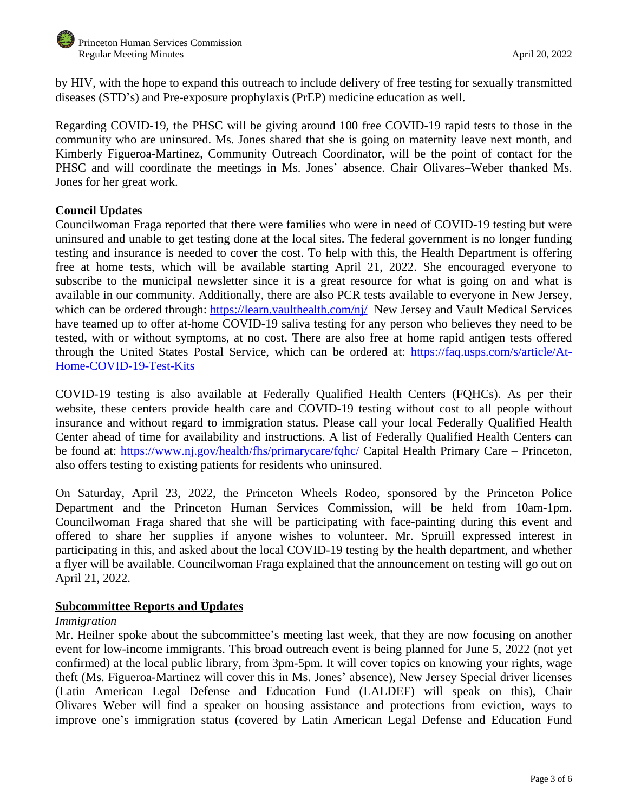by HIV, with the hope to expand this outreach to include delivery of free testing for sexually transmitted diseases (STD's) and Pre*-*exposure prophylaxis (PrEP) medicine education as well.

Regarding COVID-19, the PHSC will be giving around 100 free COVID-19 rapid tests to those in the community who are uninsured. Ms. Jones shared that she is going on maternity leave next month, and Kimberly Figueroa*-*Martinez, Community Outreach Coordinator, will be the point of contact for the PHSC and will coordinate the meetings in Ms. Jones' absence. Chair Olivares–Weber thanked Ms. Jones for her great work.

# **Council Updates**

Councilwoman Fraga reported that there were families who were in need of COVID-19 testing but were uninsured and unable to get testing done at the local sites. The federal government is no longer funding testing and insurance is needed to cover the cost. To help with this, the Health Department is offering free at home tests, which will be available starting April 21, 2022. She encouraged everyone to subscribe to the municipal newsletter since it is a great resource for what is going on and what is available in our community. Additionally, there are also PCR tests available to everyone in New Jersey, which can be ordered through: <https://learn.vaulthealth.com/nj/> New Jersey and Vault Medical Services have teamed up to offer at-home COVID-19 saliva testing for any person who believes they need to be tested, with or without symptoms, at no cost. There are also free at home rapid antigen tests offered through the United States Postal Service, which can be ordered at: [https://faq.usps.com/s/article/At-](https://faq.usps.com/s/article/At-Home-COVID-19-Test-Kits)Home-COVID-19-Test-Kits

COVID-19 testing is also available at Federally Qualified Health Centers (FQHCs). As per their website, these centers provide health care and COVID-19 testing without cost to all people without insurance and without regard to immigration status. Please call your local Federally Qualified Health Center ahead of time for availability and instructions. A list of Federally Qualified Health Centers can be found at: <https://www.nj.gov/health/fhs/primarycare/fqhc/> Capital Health Primary Care – Princeton, also offers testing to existing patients for residents who uninsured.

On Saturday, April 23, 2022, the Princeton Wheels Rodeo*,* sponsored by the Princeton Police Department and the Princeton Human Services Commission, will be held from 10am-1pm. Councilwoman Fraga shared that she will be participating with face-painting during this event and offered to share her supplies if anyone wishes to volunteer. Mr. Spruill expressed interest in participating in this, and asked about the local COVID-19 testing by the health department, and whether a flyer will be available. Councilwoman Fraga explained that the announcement on testing will go out on April 21, 2022.

## **Subcommittee Reports and Updates**

## *Immigration*

Mr. Heilner spoke about the subcommittee's meeting last week, that they are now focusing on another event for low-income immigrants. This broad outreach event is being planned for June 5, 2022 (not yet confirmed) at the local public library, from 3pm-5pm. It will cover topics on knowing your rights, wage theft (Ms. Figueroa*-*Martinez will cover this in Ms. Jones' absence), New Jersey Special driver licenses (Latin American Legal Defense and Education Fund (LALDEF) will speak on this), Chair Olivares–Weber will find a speaker on housing assistance and protections from eviction, ways to improve one's immigration status (covered by Latin American Legal Defense and Education Fund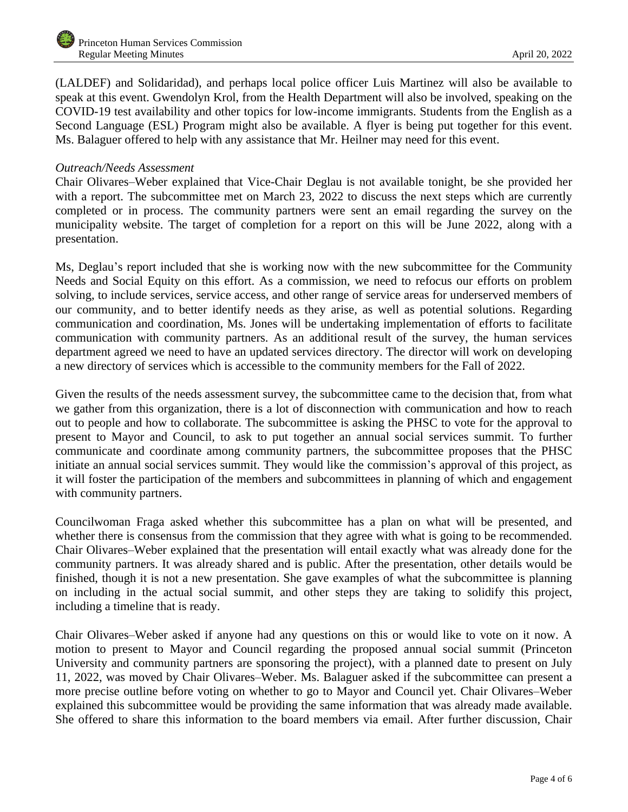(LALDEF) and Solidaridad), and perhaps local police officer Luis Martinez will also be available to speak at this event. Gwendolyn Krol, from the Health Department will also be involved, speaking on the COVID-19 test availability and other topics for low-income immigrants. Students from the English as a Second Language (ESL) Program might also be available. A flyer is being put together for this event. Ms. Balaguer offered to help with any assistance that Mr. Heilner may need for this event.

#### *Outreach/Needs Assessment*

Chair Olivares–Weber explained that Vice-Chair Deglau is not available tonight, be she provided her with a report. The subcommittee met on March 23, 2022 to discuss the next steps which are currently completed or in process. The community partners were sent an email regarding the survey on the municipality website. The target of completion for a report on this will be June 2022, along with a presentation.

Ms, Deglau's report included that she is working now with the new subcommittee for the Community Needs and Social Equity on this effort. As a commission, we need to refocus our efforts on problem solving, to include services, service access, and other range of service areas for underserved members of our community, and to better identify needs as they arise, as well as potential solutions. Regarding communication and coordination, Ms. Jones will be undertaking implementation of efforts to facilitate communication with community partners. As an additional result of the survey, the human services department agreed we need to have an updated services directory. The director will work on developing a new directory of services which is accessible to the community members for the Fall of 2022.

Given the results of the needs assessment survey, the subcommittee came to the decision that, from what we gather from this organization, there is a lot of disconnection with communication and how to reach out to people and how to collaborate. The subcommittee is asking the PHSC to vote for the approval to present to Mayor and Council, to ask to put together an annual social services summit. To further communicate and coordinate among community partners, the subcommittee proposes that the PHSC initiate an annual social services summit. They would like the commission's approval of this project, as it will foster the participation of the members and subcommittees in planning of which and engagement with community partners.

Councilwoman Fraga asked whether this subcommittee has a plan on what will be presented, and whether there is consensus from the commission that they agree with what is going to be recommended. Chair Olivares–Weber explained that the presentation will entail exactly what was already done for the community partners. It was already shared and is public. After the presentation, other details would be finished, though it is not a new presentation. She gave examples of what the subcommittee is planning on including in the actual social summit, and other steps they are taking to solidify this project, including a timeline that is ready.

Chair Olivares–Weber asked if anyone had any questions on this or would like to vote on it now. A motion to present to Mayor and Council regarding the proposed annual social summit (Princeton University and community partners are sponsoring the project), with a planned date to present on July 11, 2022, was moved by Chair Olivares–Weber. Ms. Balaguer asked if the subcommittee can present a more precise outline before voting on whether to go to Mayor and Council yet. Chair Olivares–Weber explained this subcommittee would be providing the same information that was already made available. She offered to share this information to the board members via email. After further discussion, Chair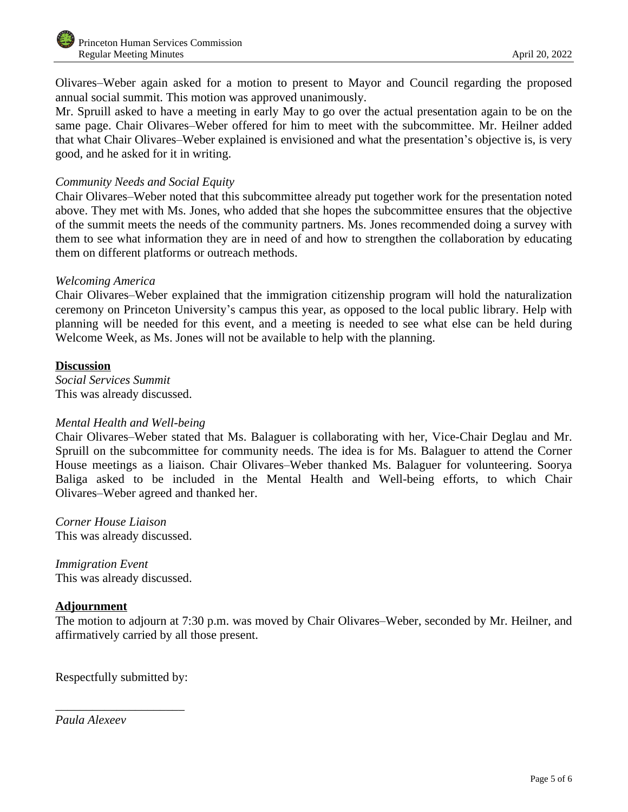Olivares–Weber again asked for a motion to present to Mayor and Council regarding the proposed annual social summit. This motion was approved unanimously.

Mr. Spruill asked to have a meeting in early May to go over the actual presentation again to be on the same page. Chair Olivares–Weber offered for him to meet with the subcommittee. Mr. Heilner added that what Chair Olivares–Weber explained is envisioned and what the presentation's objective is, is very good, and he asked for it in writing.

## *Community Needs and Social Equity*

Chair Olivares–Weber noted that this subcommittee already put together work for the presentation noted above. They met with Ms. Jones, who added that she hopes the subcommittee ensures that the objective of the summit meets the needs of the community partners. Ms. Jones recommended doing a survey with them to see what information they are in need of and how to strengthen the collaboration by educating them on different platforms or outreach methods.

#### *Welcoming America*

Chair Olivares–Weber explained that the immigration citizenship program will hold the naturalization ceremony on Princeton University's campus this year, as opposed to the local public library. Help with planning will be needed for this event, and a meeting is needed to see what else can be held during Welcome Week, as Ms. Jones will not be available to help with the planning.

#### **Discussion**

*Social Services Summit* This was already discussed.

## *Mental Health and Well-being*

Chair Olivares–Weber stated that Ms. Balaguer is collaborating with her, Vice-Chair Deglau and Mr. Spruill on the subcommittee for community needs. The idea is for Ms. Balaguer to attend the Corner House meetings as a liaison. Chair Olivares–Weber thanked Ms. Balaguer for volunteering. Soorya Baliga asked to be included in the Mental Health and Well-being efforts, to which Chair Olivares–Weber agreed and thanked her.

*Corner House Liaison* This was already discussed.

*Immigration Event* This was already discussed.

## **Adjournment**

The motion to adjourn at 7:30 p.m. was moved by Chair Olivares–Weber, seconded by Mr. Heilner, and affirmatively carried by all those present.

Respectfully submitted by:

\_\_\_\_\_\_\_\_\_\_\_\_\_\_\_\_\_\_\_\_\_

*Paula Alexeev*